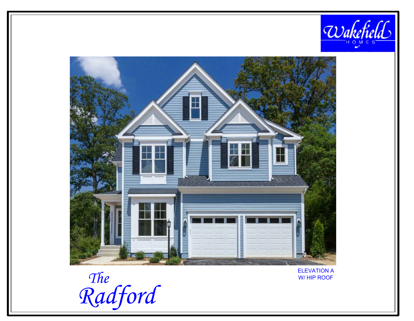



The<br>Radford

**ELEVATION A** W/HIP ROOF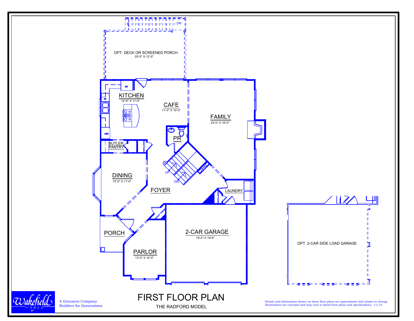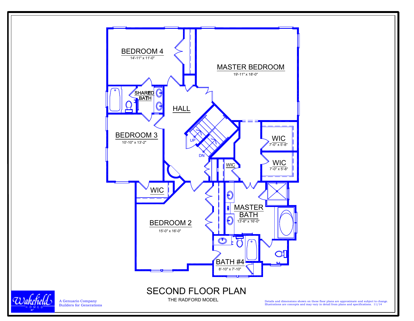

Wakefield

A Genuario CompanyBuilders for Generations

Details and dimensions shown on these floor plans are approximate and subject to change. Illustrations are concepts and may vary in detail from plans and specifications. 11/14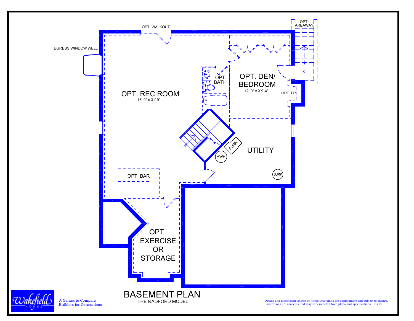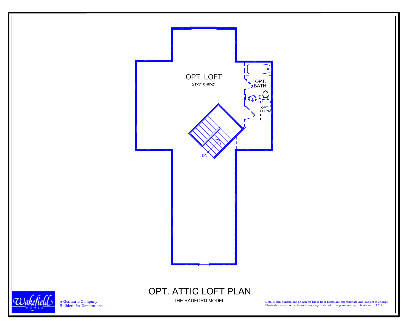

A Genuario Company Builders for Generations

Details and dimensions shown on these floor plans are approximate and subject to change. Illustrations are concepts and may vary in detail from plans and specifications. 11/14